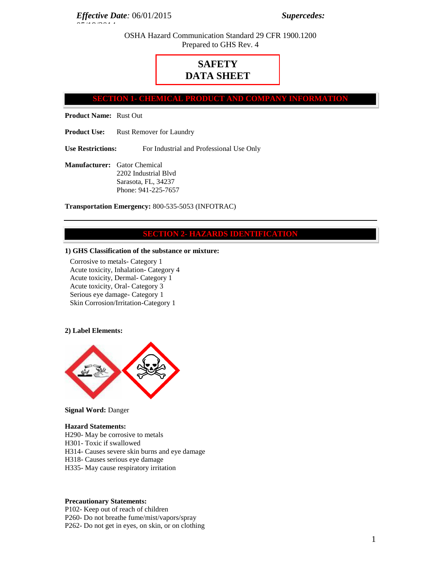*Effective Date:* 06/01/2015 *Supercedes:*

OSHA Hazard Communication Standard 29 CFR 1900.1200 Prepared to GHS Rev. 4

# **SAFETY DATA SHEET**

**SHEMICAL PRODUCT AND COMPA** 

**Product Name:** Rust Out

05/19/2014

**Product Use:** Rust Remover for Laundry

**Use Restrictions:** For Industrial and Professional Use Only

**Manufacturer:** Gator Chemical 2202 Industrial Blvd Sarasota, FL, 34237 Phone: 941-225-7657

**Transportation Emergency:** 800-535-5053 (INFOTRAC)

## **SECTION 2- HAZARDS IDENTIFICATION**

#### **1) GHS Classification of the substance or mixture:**

Corrosive to metals- Category 1 Acute toxicity, Inhalation- Category 4 Acute toxicity, Dermal- Category 1 Acute toxicity, Oral- Category 3 Serious eye damage- Category 1 Skin Corrosion/Irritation-Category 1

#### **2) Label Elements:**



## **Signal Word:** Danger

#### **Hazard Statements:**

H290- May be corrosive to metals H301- Toxic if swallowed H314- Causes severe skin burns and eye damage H318- Causes serious eye damage H335- May cause respiratory irritation

#### **Precautionary Statements:**

P102- Keep out of reach of children P260- Do not breathe fume/mist/vapors/spray P262- Do not get in eyes, on skin, or on clothing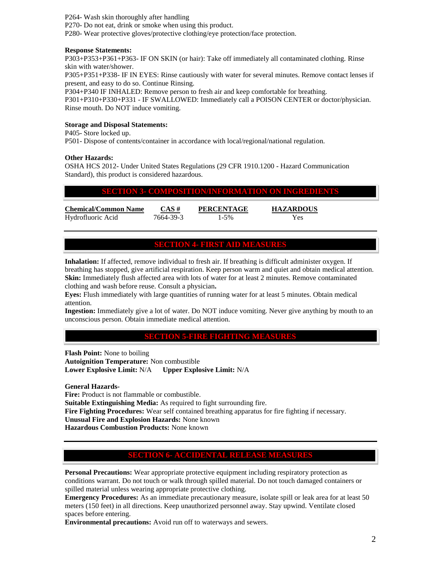P264- Wash skin thoroughly after handling P270- Do not eat, drink or smoke when using this product. P280- Wear protective gloves/protective clothing/eye protection/face protection.

### **Response Statements:**

P303+P353+P361+P363- IF ON SKIN (or hair): Take off immediately all contaminated clothing. Rinse skin with water/shower.

P305+P351+P338- IF IN EYES: Rinse cautiously with water for several minutes. Remove contact lenses if present, and easy to do so. Continue Rinsing.

P304+P340 IF INHALED: Remove person to fresh air and keep comfortable for breathing. P301+P310+P330+P331 - IF SWALLOWED: Immediately call a POISON CENTER or doctor/physician.

Rinse mouth. Do NOT induce vomiting.

## **Storage and Disposal Statements:**

P405- Store locked up.

P501- Dispose of contents/container in accordance with local/regional/national regulation.

## **Other Hazards:**

OSHA HCS 2012- Under United States Regulations (29 CFR 1910.1200 - Hazard Communication Standard), this product is considered hazardous.

# **SECTION 3- COMPOSITION/INFORMATION ON INGREDIENTS**

**Chemical/Common Name CAS # PERCENTAGE HAZARDOUS** Hydrofluoric Acid 7664-39-3 1-5% Yes

## **SECTION 4- FIRST AID MEASURES**

**Inhalation:** If affected, remove individual to fresh air. If breathing is difficult administer oxygen. If breathing has stopped, give artificial respiration. Keep person warm and quiet and obtain medical attention. **Skin:** Immediately flush affected area with lots of water for at least 2 minutes. Remove contaminated clothing and wash before reuse. Consult a physician**.** 

**Eyes:** Flush immediately with large quantities of running water for at least 5 minutes. Obtain medical attention.

**Ingestion:** Immediately give a lot of water. Do NOT induce vomiting. Never give anything by mouth to an unconscious person. Obtain immediate medical attention.

# **SECTION 5-FIRE FIGHTING MEASURES**

**Flash Point:** None to boiling **Autoignition Temperature:** Non combustible **Lower Explosive Limit:** N/A **Upper Explosive Limit:** N/A

**General Hazards-**

Fire: Product is not flammable or combustible. **Suitable Extinguishing Media:** As required to fight surrounding fire. **Fire Fighting Procedures:** Wear self contained breathing apparatus for fire fighting if necessary. **Unusual Fire and Explosion Hazards:** None known **Hazardous Combustion Products:** None known

# **SECTION 6- ACCIDENTAL RELEASE MEA**

**Personal Precautions:** Wear appropriate protective equipment including respiratory protection as conditions warrant. Do not touch or walk through spilled material. Do not touch damaged containers or spilled material unless wearing appropriate protective clothing.

**Emergency Procedures:** As an immediate precautionary measure, isolate spill or leak area for at least 50 meters (150 feet) in all directions. Keep unauthorized personnel away. Stay upwind. Ventilate closed spaces before entering.

**Environmental precautions:** Avoid run off to waterways and sewers.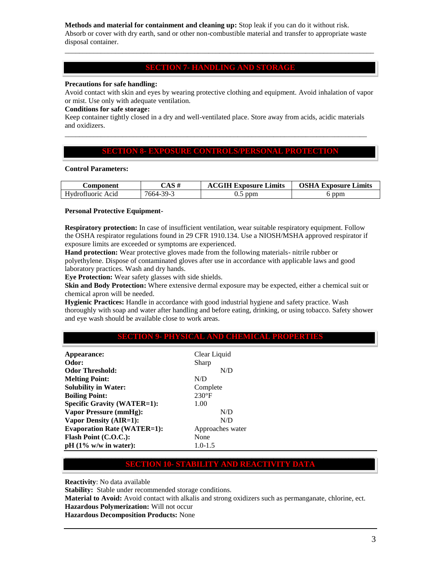**Methods and material for containment and cleaning up:** Stop leak if you can do it without risk. Absorb or cover with dry earth, sand or other non-combustible material and transfer to appropriate waste disposal container.

## **SECTION 7- HANDLING AND STORAGE**

\_\_\_\_\_\_\_\_\_\_\_\_\_\_\_\_\_\_\_\_\_\_\_\_\_\_\_\_\_\_\_\_\_\_\_\_\_\_\_\_\_\_\_\_\_\_\_\_\_\_\_\_\_\_\_\_\_\_\_\_\_\_\_\_\_\_\_\_\_\_\_\_\_\_\_\_\_\_\_\_\_\_\_\_\_\_

#### **Precautions for safe handling:**

Avoid contact with skin and eyes by wearing protective clothing and equipment. Avoid inhalation of vapor or mist. Use only with adequate ventilation.

#### **Conditions for safe storage:**

Keep container tightly closed in a dry and well-ventilated place. Store away from acids, acidic materials and oxidizers. \_\_\_\_\_\_\_\_\_\_\_\_\_\_\_\_\_\_\_\_\_\_\_\_\_\_\_\_\_\_\_\_\_\_\_\_\_\_\_\_\_\_\_\_\_\_\_\_\_\_\_\_\_\_\_\_\_\_\_\_\_\_\_\_\_\_\_\_\_\_\_\_\_\_\_\_\_\_\_\_\_\_\_\_

## **SECTION 8- EXPOSURE CONTROLS/PERSONAL PROTECTIO**

#### **Control Parameters:**

| Component         | CAS #     | <b>ACGIH Exposure Limits</b> | <b>OSHA Exposure Limits</b> |
|-------------------|-----------|------------------------------|-----------------------------|
| Hydrofluoric Acid | 7664-39-3 | 5 ppm<br>ບ.ບ                 | ppm                         |

#### **Personal Protective Equipment-**

**Respiratory protection:** In case of insufficient ventilation, wear suitable respiratory equipment. Follow the OSHA respirator regulations found in 29 CFR 1910.134. Use a NIOSH/MSHA approved respirator if exposure limits are exceeded or symptoms are experienced.

**Hand protection:** Wear protective gloves made from the following materials- nitrile rubber or polyethylene. Dispose of contaminated gloves after use in accordance with applicable laws and good laboratory practices. Wash and dry hands.

**Eye Protection:** Wear safety glasses with side shields.

**Skin and Body Protection:** Where extensive dermal exposure may be expected, either a chemical suit or chemical apron will be needed.

**Hygienic Practices:** Handle in accordance with good industrial hygiene and safety practice. Wash thoroughly with soap and water after handling and before eating, drinking, or using tobacco. Safety shower and eye wash should be available close to work areas.

# **SECTION 9- PHYSICAL AND CHEMICAL PROPERTIES**

| Appearance:                        | Clear Liquid     |
|------------------------------------|------------------|
| Odor:                              | Sharp            |
| <b>Odor Threshold:</b>             | N/D              |
| <b>Melting Point:</b>              | N/D              |
| <b>Solubility in Water:</b>        | Complete         |
| <b>Boiling Point:</b>              | $230^{\circ}F$   |
| <b>Specific Gravity (WATER=1):</b> | 1.00             |
| <b>Vapor Pressure (mmHg):</b>      | N/D              |
| <b>Vapor Density (AIR=1):</b>      | N/D              |
| <b>Evaporation Rate (WATER=1):</b> | Approaches water |
| Flash Point (C.O.C.):              | None             |
| $pH (1\% w/w in water):$           | $1.0 - 1.5$      |
|                                    |                  |

# **SECTION 10- STABILITY AND REACTIVITY**

**Reactivity**: No data available

**Stability:** Stable under recommended storage conditions.

**Material to Avoid:** Avoid contact with alkalis and strong oxidizers such as permanganate, chlorine, ect. **Hazardous Polymerization:** Will not occur

**Hazardous Decomposition Products:** None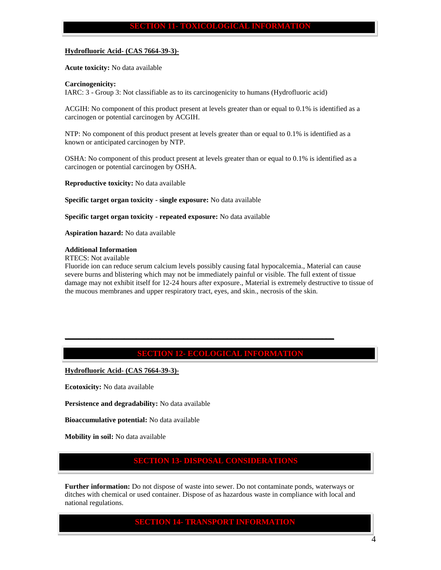#### **SECTION 11- TOXICOLOGICAL INFORMATION**

#### **Hydrofluoric Acid- (CAS 7664-39-3)-**

**Acute toxicity:** No data available

#### **Carcinogenicity:**

IARC: 3 - Group 3: Not classifiable as to its carcinogenicity to humans (Hydrofluoric acid)

ACGIH: No component of this product present at levels greater than or equal to 0.1% is identified as a carcinogen or potential carcinogen by ACGIH.

NTP: No component of this product present at levels greater than or equal to 0.1% is identified as a known or anticipated carcinogen by NTP.

OSHA: No component of this product present at levels greater than or equal to 0.1% is identified as a carcinogen or potential carcinogen by OSHA.

**Reproductive toxicity:** No data available

**Specific target organ toxicity - single exposure:** No data available

**Specific target organ toxicity - repeated exposure:** No data available

**Aspiration hazard:** No data available

## **Additional Information**

RTECS: Not available

Fluoride ion can reduce serum calcium levels possibly causing fatal hypocalcemia., Material can cause severe burns and blistering which may not be immediately painful or visible. The full extent of tissue damage may not exhibit itself for 12-24 hours after exposure., Material is extremely destructive to tissue of the mucous membranes and upper respiratory tract, eyes, and skin., necrosis of the skin.

## **SECTION 12- ECOLOGICAL INFORMATION**

**\_\_\_\_\_\_\_\_\_\_\_\_\_\_\_\_\_\_\_\_\_\_\_\_\_\_\_\_\_\_\_\_\_\_\_\_\_\_\_\_\_\_\_\_\_\_\_\_\_\_\_\_\_\_\_\_\_\_\_\_\_\_\_\_\_\_\_\_**

**Hydrofluoric Acid- (CAS 7664-39-3)-**

**Ecotoxicity:** No data available

**Persistence and degradability:** No data available

**Bioaccumulative potential:** No data available

**Mobility in soil:** No data available

# **SECTION 13- DISPOSAL CONSIDERATION**

**Further information:** Do not dispose of waste into sewer. Do not contaminate ponds, waterways or ditches with chemical or used container. Dispose of as hazardous waste in compliance with local and national regulations.

## **SECTION 14- TRANSPORT INFORMATION**

4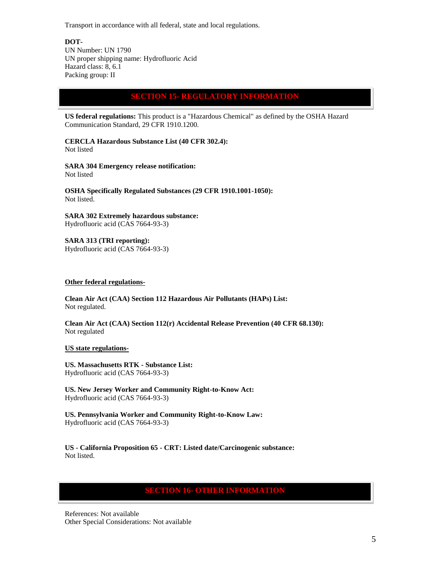Transport in accordance with all federal, state and local regulations.

**DOT-**

UN Number: UN 1790 UN proper shipping name: Hydrofluoric Acid Hazard class: 8, 6.1 Packing group: II

# **SECTION 15- REGULATORY INFORMATION**

**US federal regulations:** This product is a "Hazardous Chemical" as defined by the OSHA Hazard Communication Standard, 29 CFR 1910.1200.

**CERCLA Hazardous Substance List (40 CFR 302.4):**  Not listed

**SARA 304 Emergency release notification:** Not listed

**OSHA Specifically Regulated Substances (29 CFR 1910.1001-1050):**  Not listed.

**SARA 302 Extremely hazardous substance:**

Hydrofluoric acid (CAS 7664-93-3)

**SARA 313 (TRI reporting):**  Hydrofluoric acid (CAS 7664-93-3)

### **Other federal regulations-**

**Clean Air Act (CAA) Section 112 Hazardous Air Pollutants (HAPs) List:** Not regulated.

**Clean Air Act (CAA) Section 112(r) Accidental Release Prevention (40 CFR 68.130):**  Not regulated

## **US state regulations-**

**US. Massachusetts RTK - Substance List:**  Hydrofluoric acid (CAS 7664-93-3)

**US. New Jersey Worker and Community Right-to-Know Act:** Hydrofluoric acid (CAS 7664-93-3)

**US. Pennsylvania Worker and Community Right-to-Know Law:** Hydrofluoric acid (CAS 7664-93-3)

**US - California Proposition 65 - CRT: Listed date/Carcinogenic substance:**  Not listed.

# **SECTION 16- OTHER INFORMATION**

References: Not available Other Special Considerations: Not available